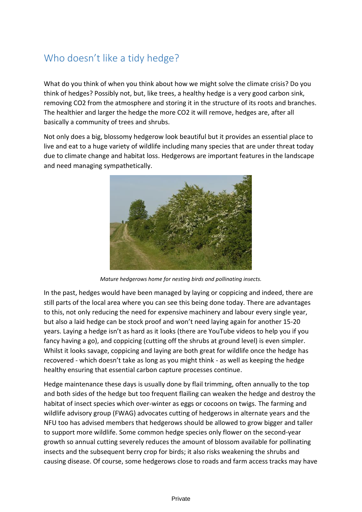## Who doesn't like a tidy hedge?

What do you think of when you think about how we might solve the climate crisis? Do you think of hedges? Possibly not, but, like trees, a healthy hedge is a very good carbon sink, removing CO2 from the atmosphere and storing it in the structure of its roots and branches. The healthier and larger the hedge the more CO2 it will remove, hedges are, after all basically a community of trees and shrubs.

Not only does a big, blossomy hedgerow look beautiful but it provides an essential place to live and eat to a huge variety of wildlife including many species that are under threat today due to climate change and habitat loss. Hedgerows are important features in the landscape and need managing sympathetically.



*Mature hedgerows home for nesting birds and pollinating insects.*

In the past, hedges would have been managed by laying or coppicing and indeed, there are still parts of the local area where you can see this being done today. There are advantages to this, not only reducing the need for expensive machinery and labour every single year, but also a laid hedge can be stock proof and won't need laying again for another 15-20 years. Laying a hedge isn't as hard as it looks (there are YouTube videos to help you if you fancy having a go), and coppicing (cutting off the shrubs at ground level) is even simpler. Whilst it looks savage, coppicing and laying are both great for wildlife once the hedge has recovered - which doesn't take as long as you might think - as well as keeping the hedge healthy ensuring that essential carbon capture processes continue.

Hedge maintenance these days is usually done by flail trimming, often annually to the top and both sides of the hedge but too frequent flailing can weaken the hedge and destroy the habitat of insect species which over-winter as eggs or cocoons on twigs. The farming and wildlife advisory group (FWAG) advocates cutting of hedgerows in alternate years and the NFU too has advised members that hedgerows should be allowed to grow bigger and taller to support more wildlife. Some common hedge species only flower on the second-year growth so annual cutting severely reduces the amount of blossom available for pollinating insects and the subsequent berry crop for birds; it also risks weakening the shrubs and causing disease. Of course, some hedgerows close to roads and farm access tracks may have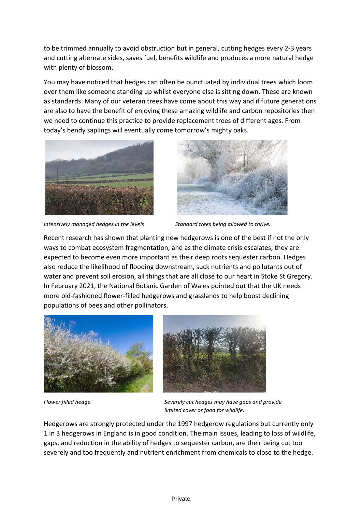to be trimmed annually to avoid obstruction but in general, cutting hedges every 2-3 years and cutting alternate sides, saves fuel, benefits wildlife and produces a more natural hedge with plenty of blossom.

You may have noticed that hedges can often be punctuated by individual trees which loom over them like someone standing up whilst everyone else is sitting down. These are known as standards. Many of our veteran trees have come about this way and if future generations are also to have the benefit of enjoying these amazing wildlife and carbon repositories then we need to continue this practice to provide replacement trees of different ages. From today's bendy saplings will eventually come tomorrow's mighty oaks.



*Intensively managed hedges in the levels Standard trees being allowed to thrive.*



Recent research has shown that planting new hedgerows is one of the best if not the only ways to combat ecosystem fragmentation, and as the climate crisis escalates, they are expected to become even more important as their deep roots sequester carbon. Hedges also reduce the likelihood of flooding downstream, suck nutrients and pollutants out of water and prevent soil erosion, all things that are all close to our heart in Stoke St Gregory. In February 2021, the National Botanic Garden of Wales pointed out that the UK needs more old-fashioned flower-filled hedgerows and grasslands to help boost declining populations of bees and other pollinators.





*Flower filled hedge. Severely cut hedges may have gaps and provide limited cover or food for wildlife.*

Hedgerows are strongly protected under the 1997 hedgerow regulations but currently only 1 in 3 hedgerows in England is in good condition. The main issues, leading to loss of wildlife, gaps, and reduction in the ability of hedges to sequester carbon, are their being cut too severely and too frequently and nutrient enrichment from chemicals to close to the hedge.